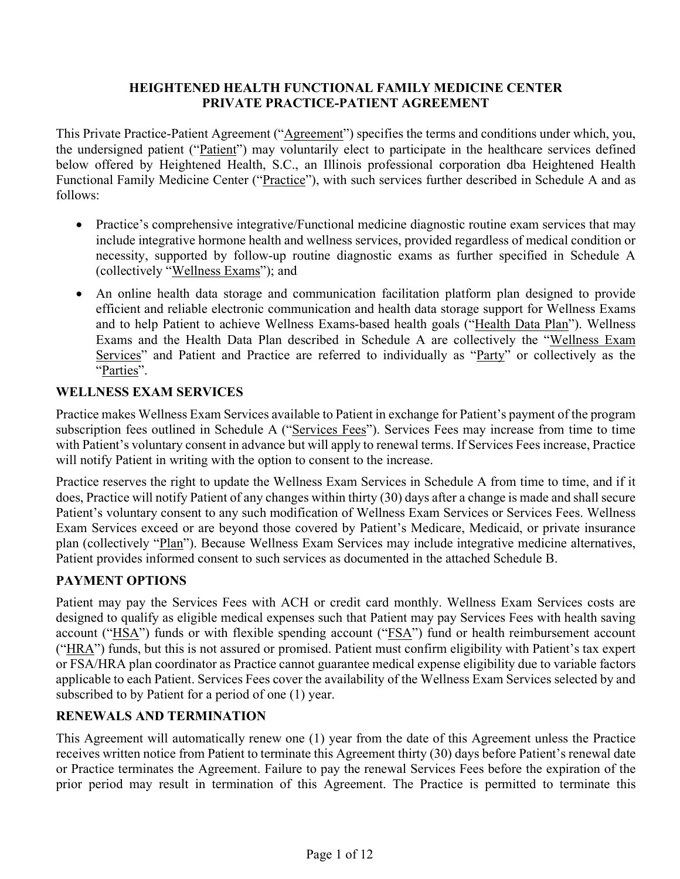### **HEIGHTENED HEALTH FUNCTIONAL FAMILY MEDICINE CENTER PRIVATE PRACTICE-PATIENT AGREEMENT**

This Private Practice-Patient Agreement ("Agreement") specifies the terms and conditions under which, you, the undersigned patient ("Patient") may voluntarily elect to participate in the healthcare services defined below offered by Heightened Health, S.C., an Illinois professional corporation dba Heightened Health Functional Family Medicine Center ("Practice"), with such services further described in Schedule A and as follows:

- Practice's comprehensive integrative/Functional medicine diagnostic routine exam services that may include integrative hormone health and wellness services, provided regardless of medical condition or necessity, supported by follow-up routine diagnostic exams as further specified in Schedule A (collectively "Wellness Exams"); and
- An online health data storage and communication facilitation platform plan designed to provide efficient and reliable electronic communication and health data storage support for Wellness Exams and to help Patient to achieve Wellness Exams-based health goals ("Health Data Plan"). Wellness Exams and the Health Data Plan described in Schedule A are collectively the "Wellness Exam Services" and Patient and Practice are referred to individually as "Party" or collectively as the "Parties".

### **WELLNESS EXAM SERVICES**

Practice makes Wellness Exam Services available to Patient in exchange for Patient's payment of the program subscription fees outlined in Schedule A ("Services Fees"). Services Fees may increase from time to time with Patient's voluntary consent in advance but will apply to renewal terms. If Services Fees increase, Practice will notify Patient in writing with the option to consent to the increase.

Practice reserves the right to update the Wellness Exam Services in Schedule A from time to time, and if it does, Practice will notify Patient of any changes within thirty (30) days after a change is made and shall secure Patient's voluntary consent to any such modification of Wellness Exam Services or Services Fees. Wellness Exam Services exceed or are beyond those covered by Patient's Medicare, Medicaid, or private insurance plan (collectively "Plan"). Because Wellness Exam Services may include integrative medicine alternatives, Patient provides informed consent to such services as documented in the attached Schedule B.

## **PAYMENT OPTIONS**

Patient may pay the Services Fees with ACH or credit card monthly. Wellness Exam Services costs are designed to qualify as eligible medical expenses such that Patient may pay Services Fees with health saving account ("HSA") funds or with flexible spending account ("FSA") fund or health reimbursement account ("HRA") funds, but this is not assured or promised. Patient must confirm eligibility with Patient's tax expert or FSA/HRA plan coordinator as Practice cannot guarantee medical expense eligibility due to variable factors applicable to each Patient. Services Fees cover the availability of the Wellness Exam Services selected by and subscribed to by Patient for a period of one (1) year.

## **RENEWALS AND TERMINATION**

This Agreement will automatically renew one (1) year from the date of this Agreement unless the Practice receives written notice from Patient to terminate this Agreement thirty (30) days before Patient's renewal date or Practice terminates the Agreement. Failure to pay the renewal Services Fees before the expiration of the prior period may result in termination of this Agreement. The Practice is permitted to terminate this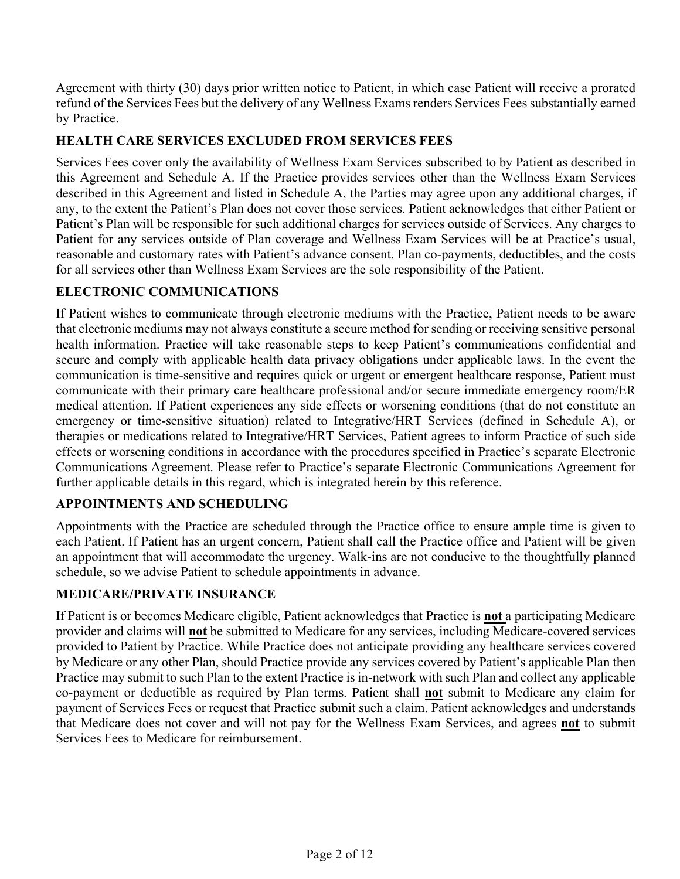Agreement with thirty (30) days prior written notice to Patient, in which case Patient will receive a prorated refund of the Services Fees but the delivery of any Wellness Exams renders Services Fees substantially earned by Practice.

## **HEALTH CARE SERVICES EXCLUDED FROM SERVICES FEES**

Services Fees cover only the availability of Wellness Exam Services subscribed to by Patient as described in this Agreement and Schedule A. If the Practice provides services other than the Wellness Exam Services described in this Agreement and listed in Schedule A, the Parties may agree upon any additional charges, if any, to the extent the Patient's Plan does not cover those services. Patient acknowledges that either Patient or Patient's Plan will be responsible for such additional charges for services outside of Services. Any charges to Patient for any services outside of Plan coverage and Wellness Exam Services will be at Practice's usual, reasonable and customary rates with Patient's advance consent. Plan co-payments, deductibles, and the costs for all services other than Wellness Exam Services are the sole responsibility of the Patient.

## **ELECTRONIC COMMUNICATIONS**

If Patient wishes to communicate through electronic mediums with the Practice, Patient needs to be aware that electronic mediums may not always constitute a secure method for sending or receiving sensitive personal health information. Practice will take reasonable steps to keep Patient's communications confidential and secure and comply with applicable health data privacy obligations under applicable laws. In the event the communication is time-sensitive and requires quick or urgent or emergent healthcare response, Patient must communicate with their primary care healthcare professional and/or secure immediate emergency room/ER medical attention. If Patient experiences any side effects or worsening conditions (that do not constitute an emergency or time-sensitive situation) related to Integrative/HRT Services (defined in Schedule A), or therapies or medications related to Integrative/HRT Services, Patient agrees to inform Practice of such side effects or worsening conditions in accordance with the procedures specified in Practice's separate Electronic Communications Agreement. Please refer to Practice's separate Electronic Communications Agreement for further applicable details in this regard, which is integrated herein by this reference.

## **APPOINTMENTS AND SCHEDULING**

Appointments with the Practice are scheduled through the Practice office to ensure ample time is given to each Patient. If Patient has an urgent concern, Patient shall call the Practice office and Patient will be given an appointment that will accommodate the urgency. Walk-ins are not conducive to the thoughtfully planned schedule, so we advise Patient to schedule appointments in advance.

## **MEDICARE/PRIVATE INSURANCE**

If Patient is or becomes Medicare eligible, Patient acknowledges that Practice is **not** a participating Medicare provider and claims will **not** be submitted to Medicare for any services, including Medicare-covered services provided to Patient by Practice. While Practice does not anticipate providing any healthcare services covered by Medicare or any other Plan, should Practice provide any services covered by Patient's applicable Plan then Practice may submit to such Plan to the extent Practice is in-network with such Plan and collect any applicable co-payment or deductible as required by Plan terms. Patient shall **not** submit to Medicare any claim for payment of Services Fees or request that Practice submit such a claim. Patient acknowledges and understands that Medicare does not cover and will not pay for the Wellness Exam Services, and agrees **not** to submit Services Fees to Medicare for reimbursement.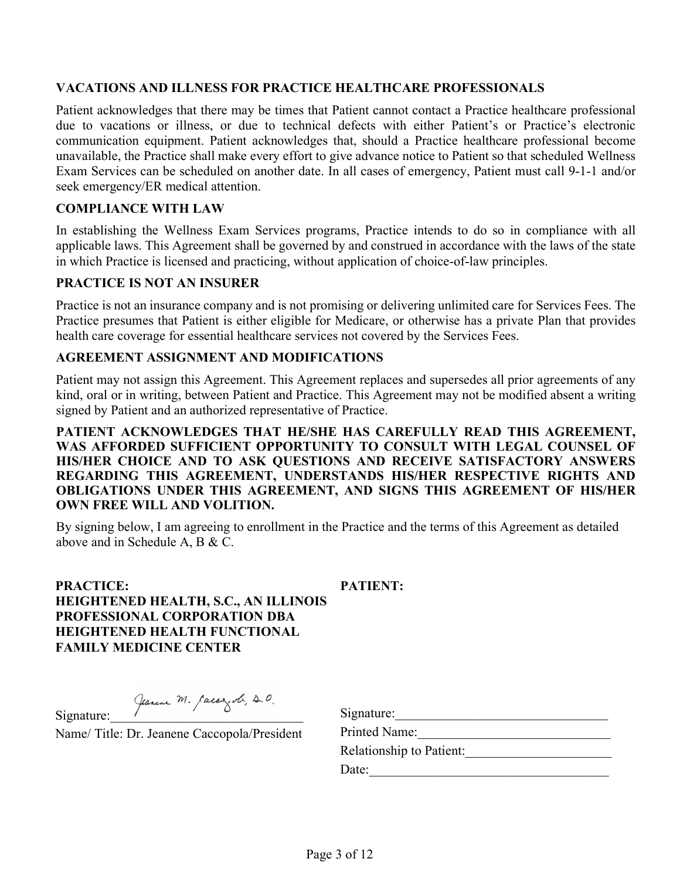#### **VACATIONS AND ILLNESS FOR PRACTICE HEALTHCARE PROFESSIONALS**

Patient acknowledges that there may be times that Patient cannot contact a Practice healthcare professional due to vacations or illness, or due to technical defects with either Patient's or Practice's electronic communication equipment. Patient acknowledges that, should a Practice healthcare professional become unavailable, the Practice shall make every effort to give advance notice to Patient so that scheduled Wellness Exam Services can be scheduled on another date. In all cases of emergency, Patient must call 9-1-1 and/or seek emergency/ER medical attention.

#### **COMPLIANCE WITH LAW**

In establishing the Wellness Exam Services programs, Practice intends to do so in compliance with all applicable laws. This Agreement shall be governed by and construed in accordance with the laws of the state in which Practice is licensed and practicing, without application of choice-of-law principles.

#### **PRACTICE IS NOT AN INSURER**

Practice is not an insurance company and is not promising or delivering unlimited care for Services Fees. The Practice presumes that Patient is either eligible for Medicare, or otherwise has a private Plan that provides health care coverage for essential healthcare services not covered by the Services Fees.

### **AGREEMENT ASSIGNMENT AND MODIFICATIONS**

Patient may not assign this Agreement. This Agreement replaces and supersedes all prior agreements of any kind, oral or in writing, between Patient and Practice. This Agreement may not be modified absent a writing signed by Patient and an authorized representative of Practice.

**PATIENT ACKNOWLEDGES THAT HE/SHE HAS CAREFULLY READ THIS AGREEMENT, WAS AFFORDED SUFFICIENT OPPORTUNITY TO CONSULT WITH LEGAL COUNSEL OF HIS/HER CHOICE AND TO ASK QUESTIONS AND RECEIVE SATISFACTORY ANSWERS REGARDING THIS AGREEMENT, UNDERSTANDS HIS/HER RESPECTIVE RIGHTS AND OBLIGATIONS UNDER THIS AGREEMENT, AND SIGNS THIS AGREEMENT OF HIS/HER OWN FREE WILL AND VOLITION.**

By signing below, I am agreeing to enrollment in the Practice and the terms of this Agreement as detailed above and in Schedule A, B & C.

**PRACTICE: HEIGHTENED HEALTH, S.C., AN ILLINOIS PROFESSIONAL CORPORATION DBA HEIGHTENED HEALTH FUNCTIONAL FAMILY MEDICINE CENTER**

**PATIENT:**

Signature: Jeanne M. Caccezole, 20.

Name/ Title: Dr. Jeanene Caccopola/President

| Signature:               |  |
|--------------------------|--|
| Printed Name:            |  |
| Relationship to Patient: |  |
| Date:                    |  |
|                          |  |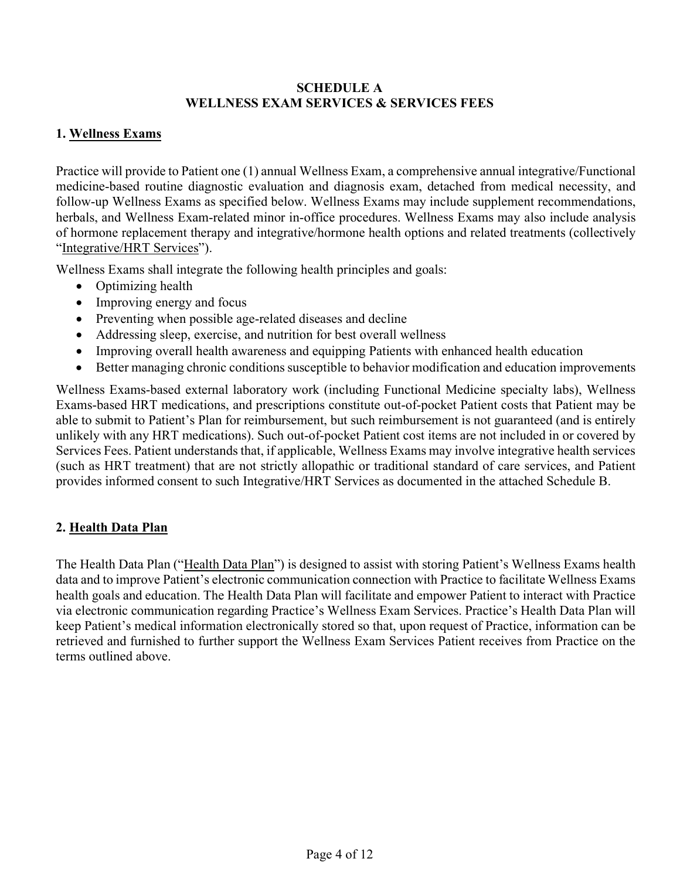#### **SCHEDULE A WELLNESS EXAM SERVICES & SERVICES FEES**

### **1. Wellness Exams**

Practice will provide to Patient one (1) annual Wellness Exam, a comprehensive annual integrative/Functional medicine-based routine diagnostic evaluation and diagnosis exam, detached from medical necessity, and follow-up Wellness Exams as specified below. Wellness Exams may include supplement recommendations, herbals, and Wellness Exam-related minor in-office procedures. Wellness Exams may also include analysis of hormone replacement therapy and integrative/hormone health options and related treatments (collectively "Integrative/HRT Services").

Wellness Exams shall integrate the following health principles and goals:

- Optimizing health
- Improving energy and focus
- Preventing when possible age-related diseases and decline
- Addressing sleep, exercise, and nutrition for best overall wellness
- Improving overall health awareness and equipping Patients with enhanced health education
- Better managing chronic conditions susceptible to behavior modification and education improvements

Wellness Exams-based external laboratory work (including Functional Medicine specialty labs), Wellness Exams-based HRT medications, and prescriptions constitute out-of-pocket Patient costs that Patient may be able to submit to Patient's Plan for reimbursement, but such reimbursement is not guaranteed (and is entirely unlikely with any HRT medications). Such out-of-pocket Patient cost items are not included in or covered by Services Fees. Patient understands that, if applicable, Wellness Exams may involve integrative health services (such as HRT treatment) that are not strictly allopathic or traditional standard of care services, and Patient provides informed consent to such Integrative/HRT Services as documented in the attached Schedule B.

## **2. Health Data Plan**

The Health Data Plan ("Health Data Plan") is designed to assist with storing Patient's Wellness Exams health data and to improve Patient's electronic communication connection with Practice to facilitate Wellness Exams health goals and education. The Health Data Plan will facilitate and empower Patient to interact with Practice via electronic communication regarding Practice's Wellness Exam Services. Practice's Health Data Plan will keep Patient's medical information electronically stored so that, upon request of Practice, information can be retrieved and furnished to further support the Wellness Exam Services Patient receives from Practice on the terms outlined above.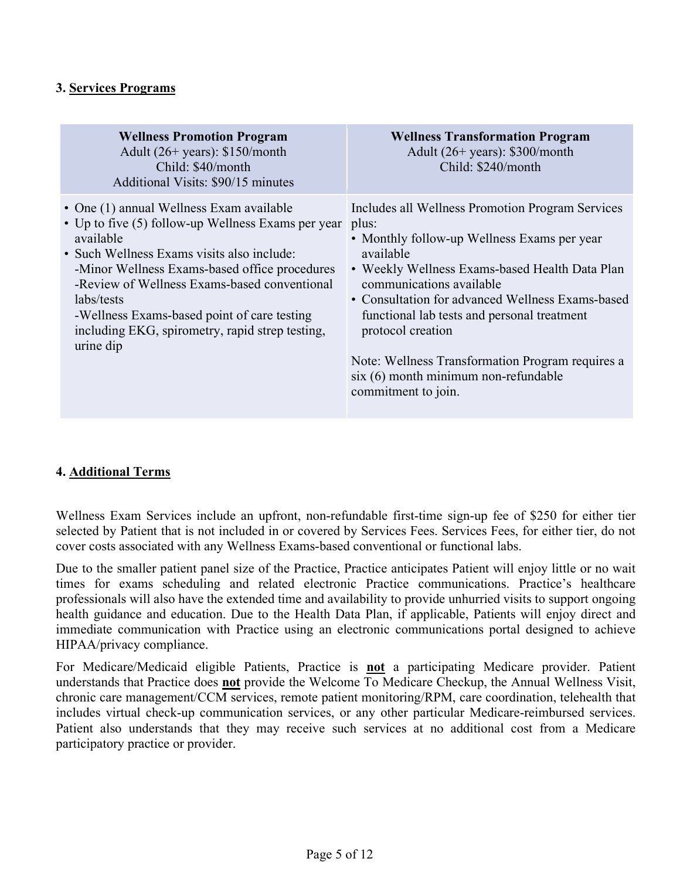### **3. Services Programs**

| <b>Wellness Promotion Program</b><br>Adult $(26+)$ years): \$150/month<br>Child: \$40/month<br>Additional Visits: \$90/15 minutes                                                                                                                                                                                                                                                       | <b>Wellness Transformation Program</b><br>Adult $(26+)$ years): \$300/month<br>Child: \$240/month                                                                                                                                                                                                                                                                                                                                                   |
|-----------------------------------------------------------------------------------------------------------------------------------------------------------------------------------------------------------------------------------------------------------------------------------------------------------------------------------------------------------------------------------------|-----------------------------------------------------------------------------------------------------------------------------------------------------------------------------------------------------------------------------------------------------------------------------------------------------------------------------------------------------------------------------------------------------------------------------------------------------|
| • One (1) annual Wellness Exam available<br>• Up to five (5) follow-up Wellness Exams per year<br>available<br>• Such Wellness Exams visits also include:<br>-Minor Wellness Exams-based office procedures<br>-Review of Wellness Exams-based conventional<br>labs/tests<br>-Wellness Exams-based point of care testing<br>including EKG, spirometry, rapid strep testing,<br>urine dip | Includes all Wellness Promotion Program Services<br>plus:<br>• Monthly follow-up Wellness Exams per year<br>available<br>• Weekly Wellness Exams-based Health Data Plan<br>communications available<br>• Consultation for advanced Wellness Exams-based<br>functional lab tests and personal treatment<br>protocol creation<br>Note: Wellness Transformation Program requires a<br>$s$ ix $(6)$ month minimum non-refundable<br>commitment to join. |

### **4. Additional Terms**

Wellness Exam Services include an upfront, non-refundable first-time sign-up fee of \$250 for either tier selected by Patient that is not included in or covered by Services Fees. Services Fees, for either tier, do not cover costs associated with any Wellness Exams-based conventional or functional labs.

Due to the smaller patient panel size of the Practice, Practice anticipates Patient will enjoy little or no wait times for exams scheduling and related electronic Practice communications. Practice's healthcare professionals will also have the extended time and availability to provide unhurried visits to support ongoing health guidance and education. Due to the Health Data Plan, if applicable, Patients will enjoy direct and immediate communication with Practice using an electronic communications portal designed to achieve HIPAA/privacy compliance.

For Medicare/Medicaid eligible Patients, Practice is **not** a participating Medicare provider. Patient understands that Practice does **not** provide the Welcome To Medicare Checkup, the Annual Wellness Visit, chronic care management/CCM services, remote patient monitoring/RPM, care coordination, telehealth that includes virtual check-up communication services, or any other particular Medicare-reimbursed services. Patient also understands that they may receive such services at no additional cost from a Medicare participatory practice or provider.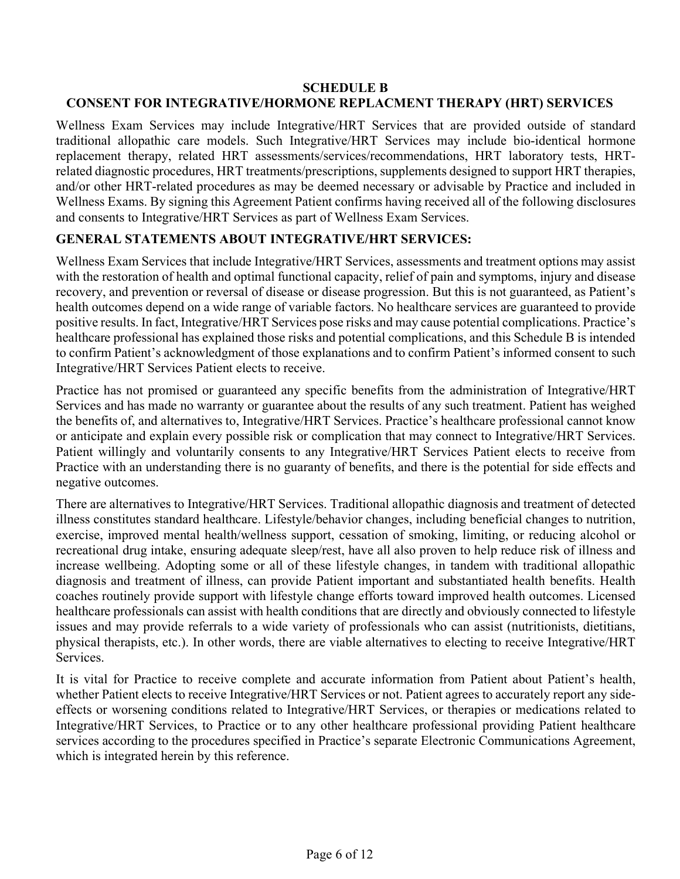### **SCHEDULE B CONSENT FOR INTEGRATIVE/HORMONE REPLACMENT THERAPY (HRT) SERVICES**

Wellness Exam Services may include Integrative/HRT Services that are provided outside of standard traditional allopathic care models. Such Integrative/HRT Services may include bio-identical hormone replacement therapy, related HRT assessments/services/recommendations, HRT laboratory tests, HRTrelated diagnostic procedures, HRT treatments/prescriptions, supplements designed to support HRT therapies, and/or other HRT-related procedures as may be deemed necessary or advisable by Practice and included in Wellness Exams. By signing this Agreement Patient confirms having received all of the following disclosures and consents to Integrative/HRT Services as part of Wellness Exam Services.

### **GENERAL STATEMENTS ABOUT INTEGRATIVE/HRT SERVICES:**

Wellness Exam Services that include Integrative/HRT Services, assessments and treatment options may assist with the restoration of health and optimal functional capacity, relief of pain and symptoms, injury and disease recovery, and prevention or reversal of disease or disease progression. But this is not guaranteed, as Patient's health outcomes depend on a wide range of variable factors. No healthcare services are guaranteed to provide positive results. In fact, Integrative/HRT Services pose risks and may cause potential complications. Practice's healthcare professional has explained those risks and potential complications, and this Schedule B is intended to confirm Patient's acknowledgment of those explanations and to confirm Patient's informed consent to such Integrative/HRT Services Patient elects to receive.

Practice has not promised or guaranteed any specific benefits from the administration of Integrative/HRT Services and has made no warranty or guarantee about the results of any such treatment. Patient has weighed the benefits of, and alternatives to, Integrative/HRT Services. Practice's healthcare professional cannot know or anticipate and explain every possible risk or complication that may connect to Integrative/HRT Services. Patient willingly and voluntarily consents to any Integrative/HRT Services Patient elects to receive from Practice with an understanding there is no guaranty of benefits, and there is the potential for side effects and negative outcomes.

There are alternatives to Integrative/HRT Services. Traditional allopathic diagnosis and treatment of detected illness constitutes standard healthcare. Lifestyle/behavior changes, including beneficial changes to nutrition, exercise, improved mental health/wellness support, cessation of smoking, limiting, or reducing alcohol or recreational drug intake, ensuring adequate sleep/rest, have all also proven to help reduce risk of illness and increase wellbeing. Adopting some or all of these lifestyle changes, in tandem with traditional allopathic diagnosis and treatment of illness, can provide Patient important and substantiated health benefits. Health coaches routinely provide support with lifestyle change efforts toward improved health outcomes. Licensed healthcare professionals can assist with health conditions that are directly and obviously connected to lifestyle issues and may provide referrals to a wide variety of professionals who can assist (nutritionists, dietitians, physical therapists, etc.). In other words, there are viable alternatives to electing to receive Integrative/HRT Services.

It is vital for Practice to receive complete and accurate information from Patient about Patient's health, whether Patient elects to receive Integrative/HRT Services or not. Patient agrees to accurately report any sideeffects or worsening conditions related to Integrative/HRT Services, or therapies or medications related to Integrative/HRT Services, to Practice or to any other healthcare professional providing Patient healthcare services according to the procedures specified in Practice's separate Electronic Communications Agreement, which is integrated herein by this reference.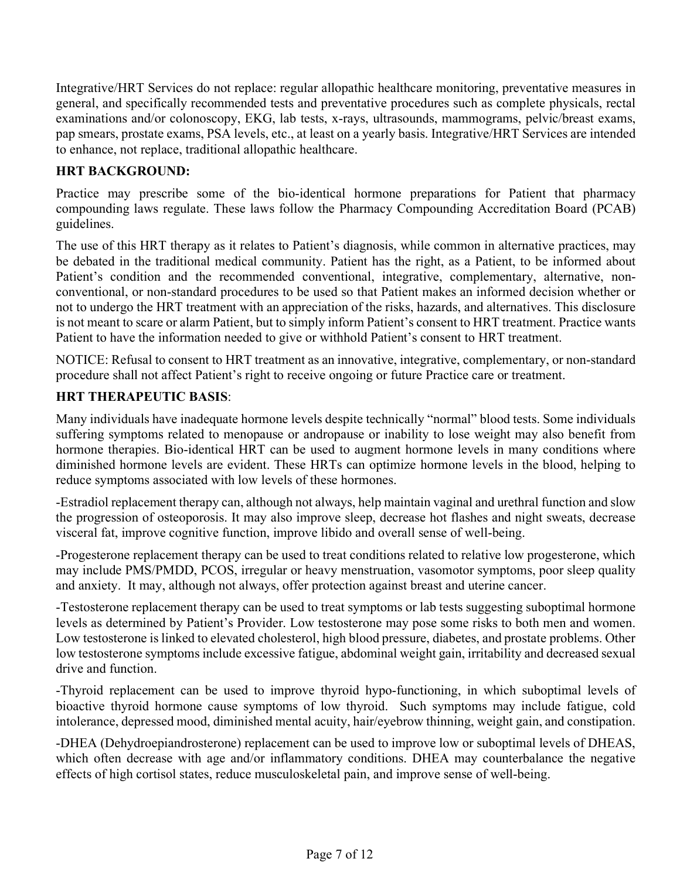Integrative/HRT Services do not replace: regular allopathic healthcare monitoring, preventative measures in general, and specifically recommended tests and preventative procedures such as complete physicals, rectal examinations and/or colonoscopy, EKG, lab tests, x-rays, ultrasounds, mammograms, pelvic/breast exams, pap smears, prostate exams, PSA levels, etc., at least on a yearly basis. Integrative/HRT Services are intended to enhance, not replace, traditional allopathic healthcare.

### **HRT BACKGROUND:**

Practice may prescribe some of the bio-identical hormone preparations for Patient that pharmacy compounding laws regulate. These laws follow the Pharmacy Compounding Accreditation Board (PCAB) guidelines.

The use of this HRT therapy as it relates to Patient's diagnosis, while common in alternative practices, may be debated in the traditional medical community. Patient has the right, as a Patient, to be informed about Patient's condition and the recommended conventional, integrative, complementary, alternative, nonconventional, or non-standard procedures to be used so that Patient makes an informed decision whether or not to undergo the HRT treatment with an appreciation of the risks, hazards, and alternatives. This disclosure is not meant to scare or alarm Patient, but to simply inform Patient's consent to HRT treatment. Practice wants Patient to have the information needed to give or withhold Patient's consent to HRT treatment.

NOTICE: Refusal to consent to HRT treatment as an innovative, integrative, complementary, or non-standard procedure shall not affect Patient's right to receive ongoing or future Practice care or treatment.

### **HRT THERAPEUTIC BASIS**:

Many individuals have inadequate hormone levels despite technically "normal" blood tests. Some individuals suffering symptoms related to menopause or andropause or inability to lose weight may also benefit from hormone therapies. Bio-identical HRT can be used to augment hormone levels in many conditions where diminished hormone levels are evident. These HRTs can optimize hormone levels in the blood, helping to reduce symptoms associated with low levels of these hormones.

-Estradiol replacement therapy can, although not always, help maintain vaginal and urethral function and slow the progression of osteoporosis. It may also improve sleep, decrease hot flashes and night sweats, decrease visceral fat, improve cognitive function, improve libido and overall sense of well-being.

-Progesterone replacement therapy can be used to treat conditions related to relative low progesterone, which may include PMS/PMDD, PCOS, irregular or heavy menstruation, vasomotor symptoms, poor sleep quality and anxiety. It may, although not always, offer protection against breast and uterine cancer.

-Testosterone replacement therapy can be used to treat symptoms or lab tests suggesting suboptimal hormone levels as determined by Patient's Provider. Low testosterone may pose some risks to both men and women. Low testosterone is linked to elevated cholesterol, high blood pressure, diabetes, and prostate problems. Other low testosterone symptoms include excessive fatigue, abdominal weight gain, irritability and decreased sexual drive and function.

-Thyroid replacement can be used to improve thyroid hypo-functioning, in which suboptimal levels of bioactive thyroid hormone cause symptoms of low thyroid. Such symptoms may include fatigue, cold intolerance, depressed mood, diminished mental acuity, hair/eyebrow thinning, weight gain, and constipation.

-DHEA (Dehydroepiandrosterone) replacement can be used to improve low or suboptimal levels of DHEAS, which often decrease with age and/or inflammatory conditions. DHEA may counterbalance the negative effects of high cortisol states, reduce musculoskeletal pain, and improve sense of well-being.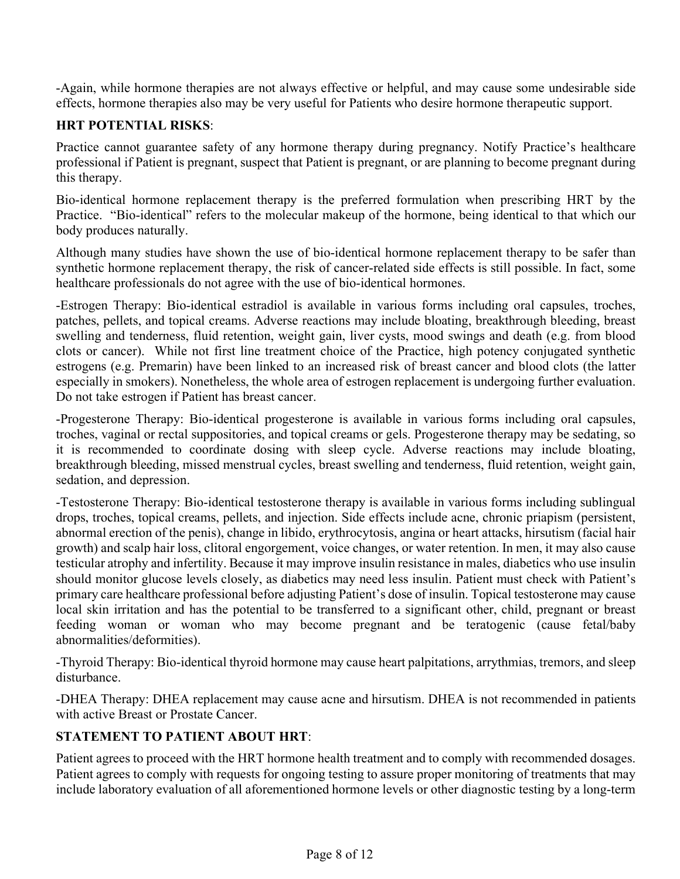-Again, while hormone therapies are not always effective or helpful, and may cause some undesirable side effects, hormone therapies also may be very useful for Patients who desire hormone therapeutic support.

### **HRT POTENTIAL RISKS**:

Practice cannot guarantee safety of any hormone therapy during pregnancy. Notify Practice's healthcare professional if Patient is pregnant, suspect that Patient is pregnant, or are planning to become pregnant during this therapy.

Bio-identical hormone replacement therapy is the preferred formulation when prescribing HRT by the Practice. "Bio-identical" refers to the molecular makeup of the hormone, being identical to that which our body produces naturally.

Although many studies have shown the use of bio-identical hormone replacement therapy to be safer than synthetic hormone replacement therapy, the risk of cancer-related side effects is still possible. In fact, some healthcare professionals do not agree with the use of bio-identical hormones.

-Estrogen Therapy: Bio-identical estradiol is available in various forms including oral capsules, troches, patches, pellets, and topical creams. Adverse reactions may include bloating, breakthrough bleeding, breast swelling and tenderness, fluid retention, weight gain, liver cysts, mood swings and death (e.g. from blood clots or cancer). While not first line treatment choice of the Practice, high potency conjugated synthetic estrogens (e.g. Premarin) have been linked to an increased risk of breast cancer and blood clots (the latter especially in smokers). Nonetheless, the whole area of estrogen replacement is undergoing further evaluation. Do not take estrogen if Patient has breast cancer.

-Progesterone Therapy: Bio-identical progesterone is available in various forms including oral capsules, troches, vaginal or rectal suppositories, and topical creams or gels. Progesterone therapy may be sedating, so it is recommended to coordinate dosing with sleep cycle. Adverse reactions may include bloating, breakthrough bleeding, missed menstrual cycles, breast swelling and tenderness, fluid retention, weight gain, sedation, and depression.

-Testosterone Therapy: Bio-identical testosterone therapy is available in various forms including sublingual drops, troches, topical creams, pellets, and injection. Side effects include acne, chronic priapism (persistent, abnormal erection of the penis), change in libido, erythrocytosis, angina or heart attacks, hirsutism (facial hair growth) and scalp hair loss, clitoral engorgement, voice changes, or water retention. In men, it may also cause testicular atrophy and infertility. Because it may improve insulin resistance in males, diabetics who use insulin should monitor glucose levels closely, as diabetics may need less insulin. Patient must check with Patient's primary care healthcare professional before adjusting Patient's dose of insulin. Topical testosterone may cause local skin irritation and has the potential to be transferred to a significant other, child, pregnant or breast feeding woman or woman who may become pregnant and be teratogenic (cause fetal/baby abnormalities/deformities).

-Thyroid Therapy: Bio-identical thyroid hormone may cause heart palpitations, arrythmias, tremors, and sleep disturbance.

-DHEA Therapy: DHEA replacement may cause acne and hirsutism. DHEA is not recommended in patients with active Breast or Prostate Cancer.

### **STATEMENT TO PATIENT ABOUT HRT**:

Patient agrees to proceed with the HRT hormone health treatment and to comply with recommended dosages. Patient agrees to comply with requests for ongoing testing to assure proper monitoring of treatments that may include laboratory evaluation of all aforementioned hormone levels or other diagnostic testing by a long-term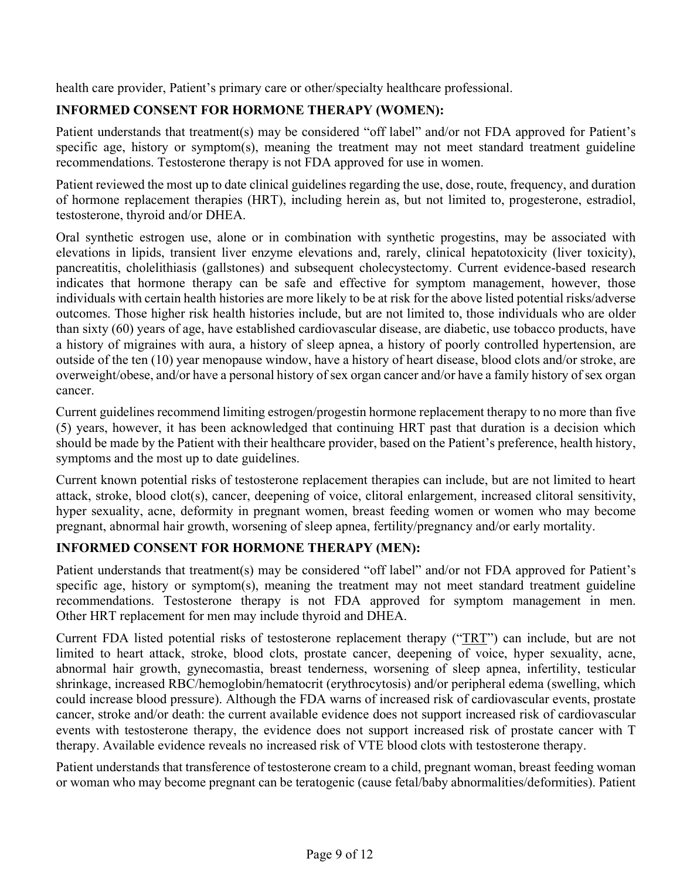health care provider, Patient's primary care or other/specialty healthcare professional.

# **INFORMED CONSENT FOR HORMONE THERAPY (WOMEN):**

Patient understands that treatment(s) may be considered "off label" and/or not FDA approved for Patient's specific age, history or symptom(s), meaning the treatment may not meet standard treatment guideline recommendations. Testosterone therapy is not FDA approved for use in women.

Patient reviewed the most up to date clinical guidelines regarding the use, dose, route, frequency, and duration of hormone replacement therapies (HRT), including herein as, but not limited to, progesterone, estradiol, testosterone, thyroid and/or DHEA.

Oral synthetic estrogen use, alone or in combination with synthetic progestins, may be associated with elevations in lipids, transient liver enzyme elevations and, rarely, clinical hepatotoxicity (liver toxicity), pancreatitis, cholelithiasis (gallstones) and subsequent cholecystectomy. Current evidence-based research indicates that hormone therapy can be safe and effective for symptom management, however, those individuals with certain health histories are more likely to be at risk for the above listed potential risks/adverse outcomes. Those higher risk health histories include, but are not limited to, those individuals who are older than sixty (60) years of age, have established cardiovascular disease, are diabetic, use tobacco products, have a history of migraines with aura, a history of sleep apnea, a history of poorly controlled hypertension, are outside of the ten (10) year menopause window, have a history of heart disease, blood clots and/or stroke, are overweight/obese, and/or have a personal history of sex organ cancer and/or have a family history of sex organ cancer.

Current guidelines recommend limiting estrogen/progestin hormone replacement therapy to no more than five (5) years, however, it has been acknowledged that continuing HRT past that duration is a decision which should be made by the Patient with their healthcare provider, based on the Patient's preference, health history, symptoms and the most up to date guidelines.

Current known potential risks of testosterone replacement therapies can include, but are not limited to heart attack, stroke, blood clot(s), cancer, deepening of voice, clitoral enlargement, increased clitoral sensitivity, hyper sexuality, acne, deformity in pregnant women, breast feeding women or women who may become pregnant, abnormal hair growth, worsening of sleep apnea, fertility/pregnancy and/or early mortality.

## **INFORMED CONSENT FOR HORMONE THERAPY (MEN):**

Patient understands that treatment(s) may be considered "off label" and/or not FDA approved for Patient's specific age, history or symptom(s), meaning the treatment may not meet standard treatment guideline recommendations. Testosterone therapy is not FDA approved for symptom management in men. Other HRT replacement for men may include thyroid and DHEA.

Current FDA listed potential risks of testosterone replacement therapy ("TRT") can include, but are not limited to heart attack, stroke, blood clots, prostate cancer, deepening of voice, hyper sexuality, acne, abnormal hair growth, gynecomastia, breast tenderness, worsening of sleep apnea, infertility, testicular shrinkage, increased RBC/hemoglobin/hematocrit (erythrocytosis) and/or peripheral edema (swelling, which could increase blood pressure). Although the FDA warns of increased risk of cardiovascular events, prostate cancer, stroke and/or death: the current available evidence does not support increased risk of cardiovascular events with testosterone therapy, the evidence does not support increased risk of prostate cancer with T therapy. Available evidence reveals no increased risk of VTE blood clots with testosterone therapy.

Patient understands that transference of testosterone cream to a child, pregnant woman, breast feeding woman or woman who may become pregnant can be teratogenic (cause fetal/baby abnormalities/deformities). Patient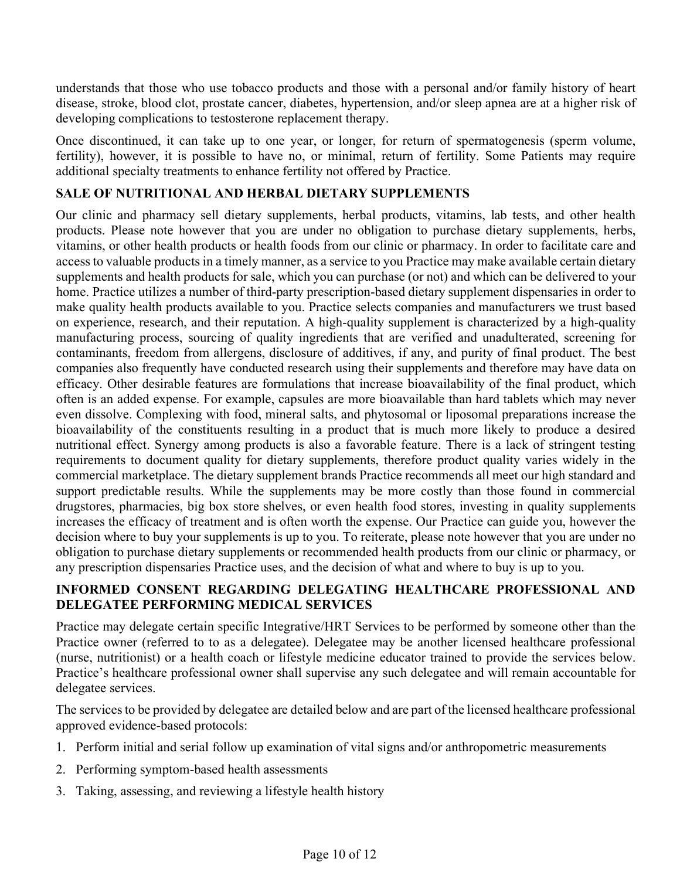understands that those who use tobacco products and those with a personal and/or family history of heart disease, stroke, blood clot, prostate cancer, diabetes, hypertension, and/or sleep apnea are at a higher risk of developing complications to testosterone replacement therapy.

Once discontinued, it can take up to one year, or longer, for return of spermatogenesis (sperm volume, fertility), however, it is possible to have no, or minimal, return of fertility. Some Patients may require additional specialty treatments to enhance fertility not offered by Practice.

## **SALE OF NUTRITIONAL AND HERBAL DIETARY SUPPLEMENTS**

Our clinic and pharmacy sell dietary supplements, herbal products, vitamins, lab tests, and other health products. Please note however that you are under no obligation to purchase dietary supplements, herbs, vitamins, or other health products or health foods from our clinic or pharmacy. In order to facilitate care and access to valuable products in a timely manner, as a service to you Practice may make available certain dietary supplements and health products for sale, which you can purchase (or not) and which can be delivered to your home. Practice utilizes a number of third-party prescription-based dietary supplement dispensaries in order to make quality health products available to you. Practice selects companies and manufacturers we trust based on experience, research, and their reputation. A high-quality supplement is characterized by a high-quality manufacturing process, sourcing of quality ingredients that are verified and unadulterated, screening for contaminants, freedom from allergens, disclosure of additives, if any, and purity of final product. The best companies also frequently have conducted research using their supplements and therefore may have data on efficacy. Other desirable features are formulations that increase bioavailability of the final product, which often is an added expense. For example, capsules are more bioavailable than hard tablets which may never even dissolve. Complexing with food, mineral salts, and phytosomal or liposomal preparations increase the bioavailability of the constituents resulting in a product that is much more likely to produce a desired nutritional effect. Synergy among products is also a favorable feature. There is a lack of stringent testing requirements to document quality for dietary supplements, therefore product quality varies widely in the commercial marketplace. The dietary supplement brands Practice recommends all meet our high standard and support predictable results. While the supplements may be more costly than those found in commercial drugstores, pharmacies, big box store shelves, or even health food stores, investing in quality supplements increases the efficacy of treatment and is often worth the expense. Our Practice can guide you, however the decision where to buy your supplements is up to you. To reiterate, please note however that you are under no obligation to purchase dietary supplements or recommended health products from our clinic or pharmacy, or any prescription dispensaries Practice uses, and the decision of what and where to buy is up to you.

## **INFORMED CONSENT REGARDING DELEGATING HEALTHCARE PROFESSIONAL AND DELEGATEE PERFORMING MEDICAL SERVICES**

Practice may delegate certain specific Integrative/HRT Services to be performed by someone other than the Practice owner (referred to to as a delegatee). Delegatee may be another licensed healthcare professional (nurse, nutritionist) or a health coach or lifestyle medicine educator trained to provide the services below. Practice's healthcare professional owner shall supervise any such delegatee and will remain accountable for delegatee services.

The services to be provided by delegatee are detailed below and are part of the licensed healthcare professional approved evidence-based protocols:

- 1. Perform initial and serial follow up examination of vital signs and/or anthropometric measurements
- 2. Performing symptom-based health assessments
- 3. Taking, assessing, and reviewing a lifestyle health history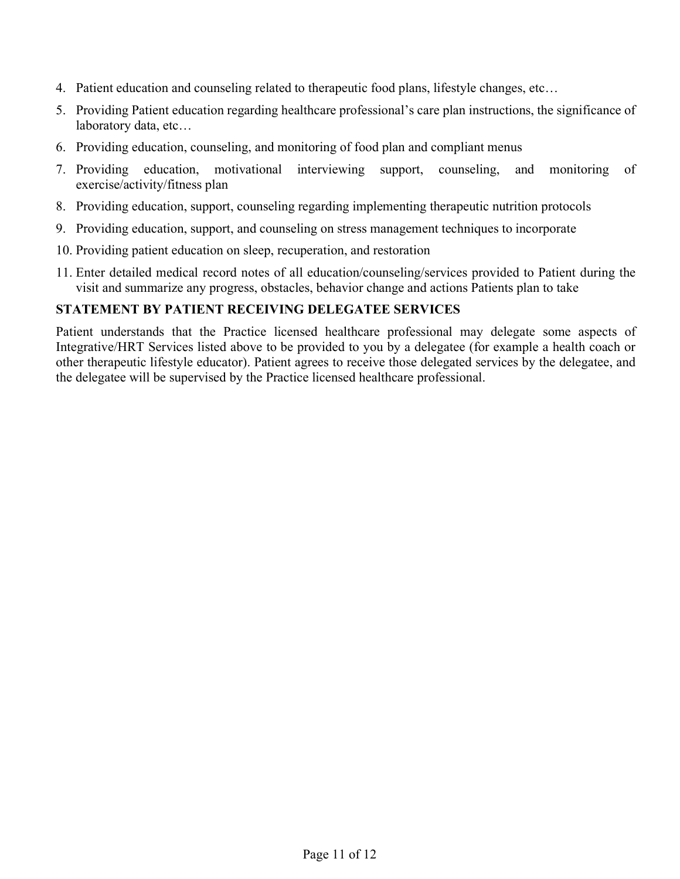- 4. Patient education and counseling related to therapeutic food plans, lifestyle changes, etc…
- 5. Providing Patient education regarding healthcare professional's care plan instructions, the significance of laboratory data, etc…
- 6. Providing education, counseling, and monitoring of food plan and compliant menus
- 7. Providing education, motivational interviewing support, counseling, and monitoring of exercise/activity/fitness plan
- 8. Providing education, support, counseling regarding implementing therapeutic nutrition protocols
- 9. Providing education, support, and counseling on stress management techniques to incorporate
- 10. Providing patient education on sleep, recuperation, and restoration
- 11. Enter detailed medical record notes of all education/counseling/services provided to Patient during the visit and summarize any progress, obstacles, behavior change and actions Patients plan to take

#### **STATEMENT BY PATIENT RECEIVING DELEGATEE SERVICES**

Patient understands that the Practice licensed healthcare professional may delegate some aspects of Integrative/HRT Services listed above to be provided to you by a delegatee (for example a health coach or other therapeutic lifestyle educator). Patient agrees to receive those delegated services by the delegatee, and the delegatee will be supervised by the Practice licensed healthcare professional.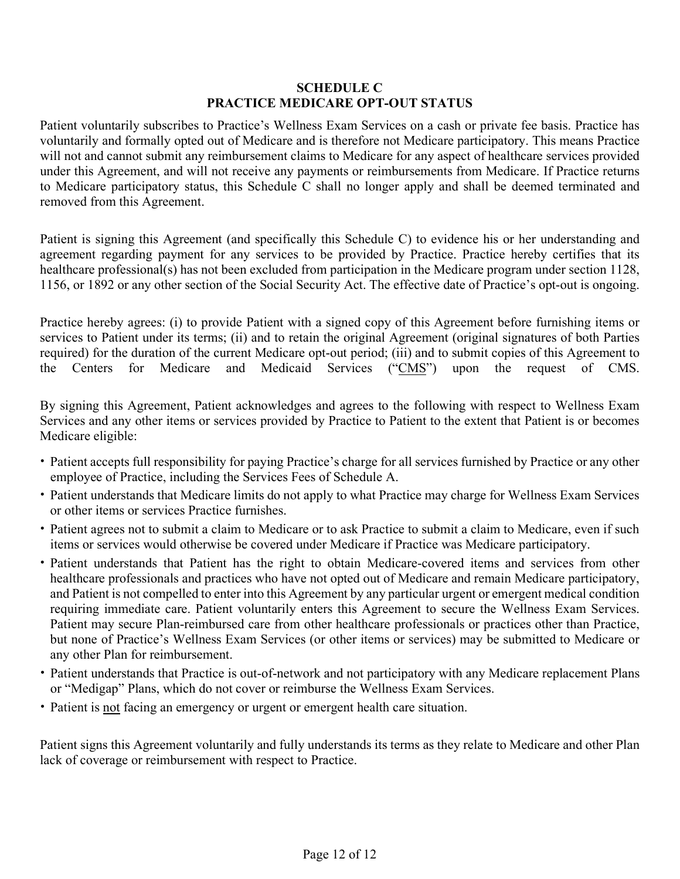#### **SCHEDULE C PRACTICE MEDICARE OPT-OUT STATUS**

Patient voluntarily subscribes to Practice's Wellness Exam Services on a cash or private fee basis. Practice has voluntarily and formally opted out of Medicare and is therefore not Medicare participatory. This means Practice will not and cannot submit any reimbursement claims to Medicare for any aspect of healthcare services provided under this Agreement, and will not receive any payments or reimbursements from Medicare. If Practice returns to Medicare participatory status, this Schedule C shall no longer apply and shall be deemed terminated and removed from this Agreement.

Patient is signing this Agreement (and specifically this Schedule C) to evidence his or her understanding and agreement regarding payment for any services to be provided by Practice. Practice hereby certifies that its healthcare professional(s) has not been excluded from participation in the Medicare program under section 1128, 1156, or 1892 or any other section of the Social Security Act. The effective date of Practice's opt-out is ongoing.

Practice hereby agrees: (i) to provide Patient with a signed copy of this Agreement before furnishing items or services to Patient under its terms; (ii) and to retain the original Agreement (original signatures of both Parties required) for the duration of the current Medicare opt-out period; (iii) and to submit copies of this Agreement to the Centers for Medicare and Medicaid Services ("CMS") upon the request of CMS.

By signing this Agreement, Patient acknowledges and agrees to the following with respect to Wellness Exam Services and any other items or services provided by Practice to Patient to the extent that Patient is or becomes Medicare eligible:

- Patient accepts full responsibility for paying Practice's charge for all services furnished by Practice or any other employee of Practice, including the Services Fees of Schedule A.
- Patient understands that Medicare limits do not apply to what Practice may charge for Wellness Exam Services or other items or services Practice furnishes.
- Patient agrees not to submit a claim to Medicare or to ask Practice to submit a claim to Medicare, even if such items or services would otherwise be covered under Medicare if Practice was Medicare participatory.
- Patient understands that Patient has the right to obtain Medicare-covered items and services from other healthcare professionals and practices who have not opted out of Medicare and remain Medicare participatory, and Patient is not compelled to enter into this Agreement by any particular urgent or emergent medical condition requiring immediate care. Patient voluntarily enters this Agreement to secure the Wellness Exam Services. Patient may secure Plan-reimbursed care from other healthcare professionals or practices other than Practice, but none of Practice's Wellness Exam Services (or other items or services) may be submitted to Medicare or any other Plan for reimbursement.
- Patient understands that Practice is out-of-network and not participatory with any Medicare replacement Plans or "Medigap" Plans, which do not cover or reimburse the Wellness Exam Services.
- Patient is not facing an emergency or urgent or emergent health care situation.

Patient signs this Agreement voluntarily and fully understands its terms as they relate to Medicare and other Plan lack of coverage or reimbursement with respect to Practice.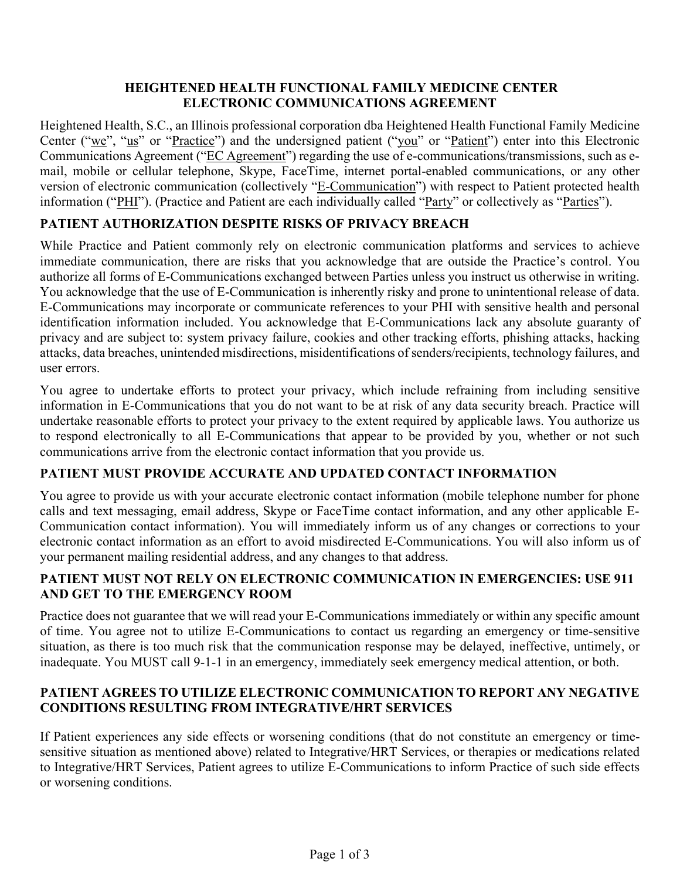### **HEIGHTENED HEALTH FUNCTIONAL FAMILY MEDICINE CENTER ELECTRONIC COMMUNICATIONS AGREEMENT**

Heightened Health, S.C., an Illinois professional corporation dba Heightened Health Functional Family Medicine Center ("we", "us" or "Practice") and the undersigned patient ("you" or "Patient") enter into this Electronic Communications Agreement ("EC Agreement") regarding the use of e-communications/transmissions, such as email, mobile or cellular telephone, Skype, FaceTime, internet portal-enabled communications, or any other version of electronic communication (collectively "E-Communication") with respect to Patient protected health information ("PHI"). (Practice and Patient are each individually called "Party" or collectively as "Parties").

### **PATIENT AUTHORIZATION DESPITE RISKS OF PRIVACY BREACH**

While Practice and Patient commonly rely on electronic communication platforms and services to achieve immediate communication, there are risks that you acknowledge that are outside the Practice's control. You authorize all forms of E-Communications exchanged between Parties unless you instruct us otherwise in writing. You acknowledge that the use of E-Communication is inherently risky and prone to unintentional release of data. E-Communications may incorporate or communicate references to your PHI with sensitive health and personal identification information included. You acknowledge that E-Communications lack any absolute guaranty of privacy and are subject to: system privacy failure, cookies and other tracking efforts, phishing attacks, hacking attacks, data breaches, unintended misdirections, misidentifications of senders/recipients, technology failures, and user errors.

You agree to undertake efforts to protect your privacy, which include refraining from including sensitive information in E-Communications that you do not want to be at risk of any data security breach. Practice will undertake reasonable efforts to protect your privacy to the extent required by applicable laws. You authorize us to respond electronically to all E-Communications that appear to be provided by you, whether or not such communications arrive from the electronic contact information that you provide us.

### **PATIENT MUST PROVIDE ACCURATE AND UPDATED CONTACT INFORMATION**

You agree to provide us with your accurate electronic contact information (mobile telephone number for phone calls and text messaging, email address, Skype or FaceTime contact information, and any other applicable E-Communication contact information). You will immediately inform us of any changes or corrections to your electronic contact information as an effort to avoid misdirected E-Communications. You will also inform us of your permanent mailing residential address, and any changes to that address.

### **PATIENT MUST NOT RELY ON ELECTRONIC COMMUNICATION IN EMERGENCIES: USE 911 AND GET TO THE EMERGENCY ROOM**

Practice does not guarantee that we will read your E-Communications immediately or within any specific amount of time. You agree not to utilize E-Communications to contact us regarding an emergency or time-sensitive situation, as there is too much risk that the communication response may be delayed, ineffective, untimely, or inadequate. You MUST call 9-1-1 in an emergency, immediately seek emergency medical attention, or both.

### **PATIENT AGREES TO UTILIZE ELECTRONIC COMMUNICATION TO REPORT ANY NEGATIVE CONDITIONS RESULTING FROM INTEGRATIVE/HRT SERVICES**

If Patient experiences any side effects or worsening conditions (that do not constitute an emergency or timesensitive situation as mentioned above) related to Integrative/HRT Services, or therapies or medications related to Integrative/HRT Services, Patient agrees to utilize E-Communications to inform Practice of such side effects or worsening conditions.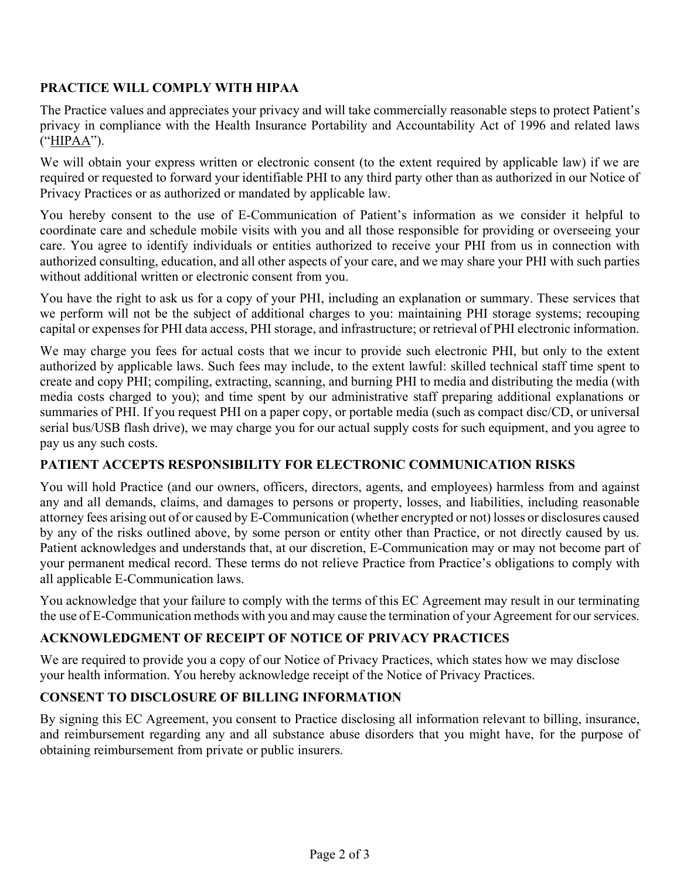## **PRACTICE WILL COMPLY WITH HIPAA**

The Practice values and appreciates your privacy and will take commercially reasonable steps to protect Patient's privacy in compliance with the Health Insurance Portability and Accountability Act of 1996 and related laws ("HIPAA").

We will obtain your express written or electronic consent (to the extent required by applicable law) if we are required or requested to forward your identifiable PHI to any third party other than as authorized in our Notice of Privacy Practices or as authorized or mandated by applicable law.

You hereby consent to the use of E-Communication of Patient's information as we consider it helpful to coordinate care and schedule mobile visits with you and all those responsible for providing or overseeing your care. You agree to identify individuals or entities authorized to receive your PHI from us in connection with authorized consulting, education, and all other aspects of your care, and we may share your PHI with such parties without additional written or electronic consent from you.

You have the right to ask us for a copy of your PHI, including an explanation or summary. These services that we perform will not be the subject of additional charges to you: maintaining PHI storage systems; recouping capital or expenses for PHI data access, PHI storage, and infrastructure; or retrieval of PHI electronic information.

We may charge you fees for actual costs that we incur to provide such electronic PHI, but only to the extent authorized by applicable laws. Such fees may include, to the extent lawful: skilled technical staff time spent to create and copy PHI; compiling, extracting, scanning, and burning PHI to media and distributing the media (with media costs charged to you); and time spent by our administrative staff preparing additional explanations or summaries of PHI. If you request PHI on a paper copy, or portable media (such as compact disc/CD, or universal serial bus/USB flash drive), we may charge you for our actual supply costs for such equipment, and you agree to pay us any such costs.

### **PATIENT ACCEPTS RESPONSIBILITY FOR ELECTRONIC COMMUNICATION RISKS**

You will hold Practice (and our owners, officers, directors, agents, and employees) harmless from and against any and all demands, claims, and damages to persons or property, losses, and liabilities, including reasonable attorney fees arising out of or caused by E-Communication (whether encrypted or not) losses or disclosures caused by any of the risks outlined above, by some person or entity other than Practice, or not directly caused by us. Patient acknowledges and understands that, at our discretion, E-Communication may or may not become part of your permanent medical record. These terms do not relieve Practice from Practice's obligations to comply with all applicable E-Communication laws.

You acknowledge that your failure to comply with the terms of this EC Agreement may result in our terminating the use of E-Communication methods with you and may cause the termination of your Agreement for our services.

## **ACKNOWLEDGMENT OF RECEIPT OF NOTICE OF PRIVACY PRACTICES**

We are required to provide you a copy of our Notice of Privacy Practices, which states how we may disclose your health information. You hereby acknowledge receipt of the Notice of Privacy Practices.

## **CONSENT TO DISCLOSURE OF BILLING INFORMATION**

By signing this EC Agreement, you consent to Practice disclosing all information relevant to billing, insurance, and reimbursement regarding any and all substance abuse disorders that you might have, for the purpose of obtaining reimbursement from private or public insurers.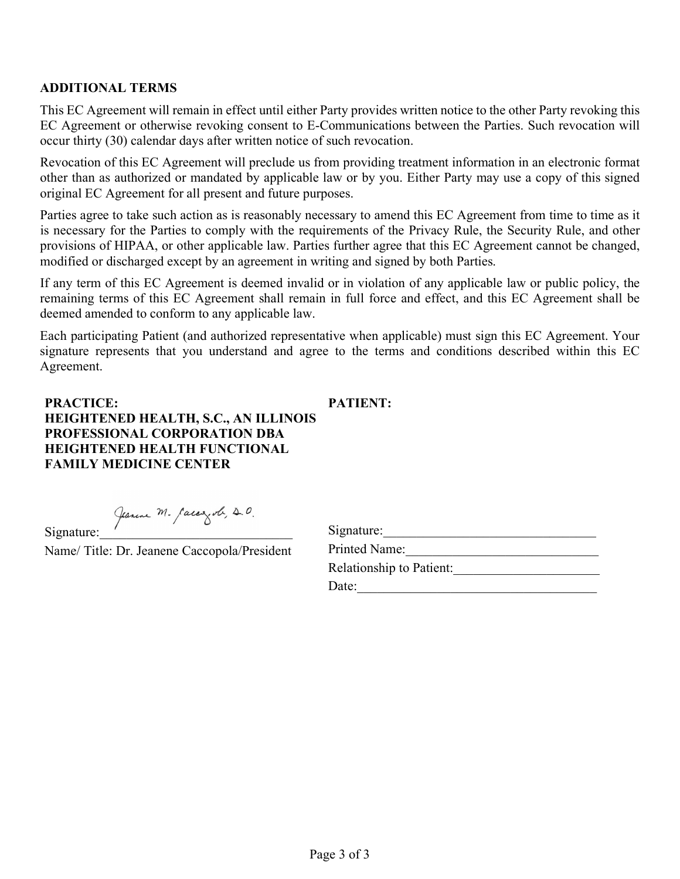#### **ADDITIONAL TERMS**

This EC Agreement will remain in effect until either Party provides written notice to the other Party revoking this EC Agreement or otherwise revoking consent to E-Communications between the Parties. Such revocation will occur thirty (30) calendar days after written notice of such revocation.

Revocation of this EC Agreement will preclude us from providing treatment information in an electronic format other than as authorized or mandated by applicable law or by you. Either Party may use a copy of this signed original EC Agreement for all present and future purposes.

Parties agree to take such action as is reasonably necessary to amend this EC Agreement from time to time as it is necessary for the Parties to comply with the requirements of the Privacy Rule, the Security Rule, and other provisions of HIPAA, or other applicable law. Parties further agree that this EC Agreement cannot be changed, modified or discharged except by an agreement in writing and signed by both Parties.

If any term of this EC Agreement is deemed invalid or in violation of any applicable law or public policy, the remaining terms of this EC Agreement shall remain in full force and effect, and this EC Agreement shall be deemed amended to conform to any applicable law.

Each participating Patient (and authorized representative when applicable) must sign this EC Agreement. Your signature represents that you understand and agree to the terms and conditions described within this EC Agreement.

**PRACTICE: HEIGHTENED HEALTH, S.C., AN ILLINOIS PROFESSIONAL CORPORATION DBA HEIGHTENED HEALTH FUNCTIONAL FAMILY MEDICINE CENTER PATIENT:**

Jeanne M. Caccozol, 20.

Name/ Title: Dr. Jeanene Caccopola/President

| Signature:                      |  |
|---------------------------------|--|
| <b>Printed Name:</b>            |  |
| <b>Relationship to Patient:</b> |  |
| Date:                           |  |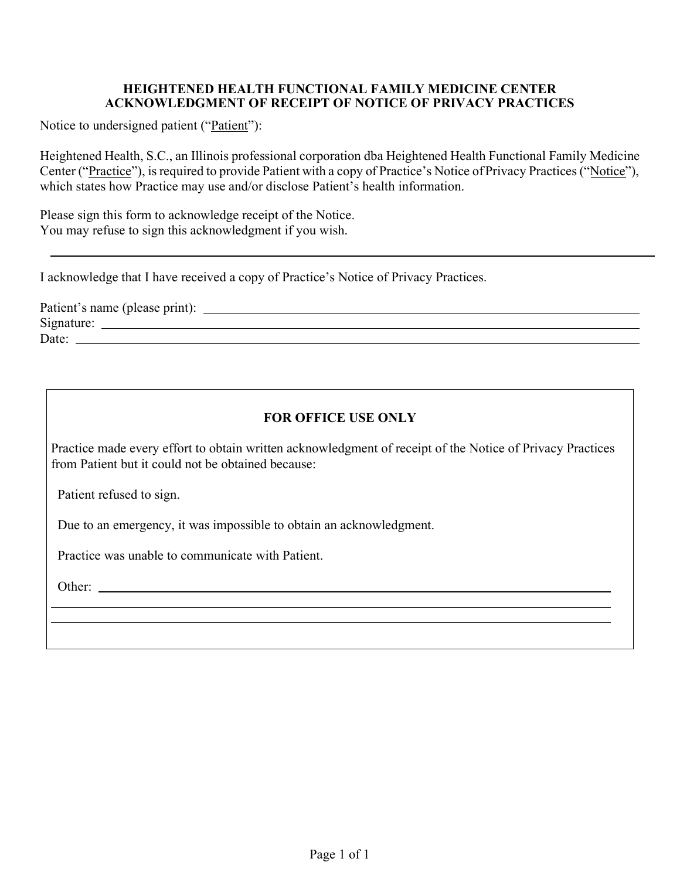#### **HEIGHTENED HEALTH FUNCTIONAL FAMILY MEDICINE CENTER ACKNOWLEDGMENT OF RECEIPT OF NOTICE OF PRIVACY PRACTICES**

Notice to undersigned patient ("Patient"):

Heightened Health, S.C., an Illinois professional corporation dba Heightened Health Functional Family Medicine Center ("Practice"), is required to provide Patient with a copy of Practice's Notice ofPrivacy Practices ("Notice"), which states how Practice may use and/or disclose Patient's health information.

Please sign this form to acknowledge receipt of the Notice. You may refuse to sign this acknowledgment if you wish.

I acknowledge that I have received a copy of Practice's Notice of Privacy Practices.

Patient's name (please print): Signature: Date:

# **FOR OFFICE USE ONLY**

Practice made every effort to obtain written acknowledgment of receipt of the Notice of Privacy Practices from Patient but it could not be obtained because:

Patient refused to sign.

Due to an emergency, it was impossible to obtain an acknowledgment.

Practice was unable to communicate with Patient.

Other: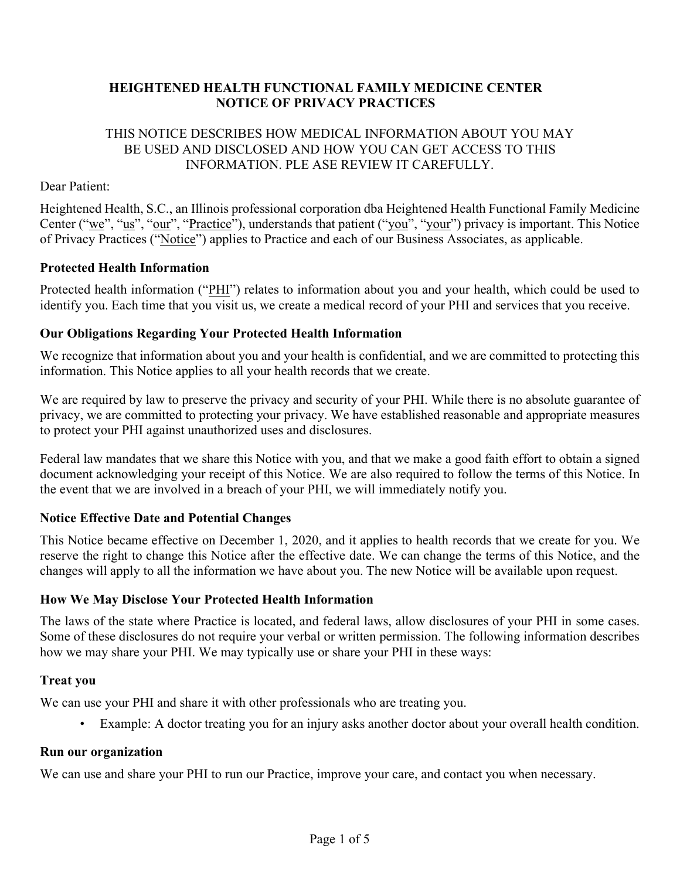### **HEIGHTENED HEALTH FUNCTIONAL FAMILY MEDICINE CENTER NOTICE OF PRIVACY PRACTICES**

#### THIS NOTICE DESCRIBES HOW MEDICAL INFORMATION ABOUT YOU MAY BE USED AND DISCLOSED AND HOW YOU CAN GET ACCESS TO THIS INFORMATION. PLE ASE REVIEW IT CAREFULLY.

#### Dear Patient:

Heightened Health, S.C., an Illinois professional corporation dba Heightened Health Functional Family Medicine Center ("we", "us", "our", "Practice"), understands that patient ("you", "your") privacy is important. This Notice of Privacy Practices ("Notice") applies to Practice and each of our Business Associates, as applicable.

#### **Protected Health Information**

Protected health information ("PHI") relates to information about you and your health, which could be used to identify you. Each time that you visit us, we create a medical record of your PHI and services that you receive.

#### **Our Obligations Regarding Your Protected Health Information**

We recognize that information about you and your health is confidential, and we are committed to protecting this information. This Notice applies to all your health records that we create.

We are required by law to preserve the privacy and security of your PHI. While there is no absolute guarantee of privacy, we are committed to protecting your privacy. We have established reasonable and appropriate measures to protect your PHI against unauthorized uses and disclosures.

Federal law mandates that we share this Notice with you, and that we make a good faith effort to obtain a signed document acknowledging your receipt of this Notice. We are also required to follow the terms of this Notice. In the event that we are involved in a breach of your PHI, we will immediately notify you.

### **Notice Effective Date and Potential Changes**

This Notice became effective on December 1, 2020, and it applies to health records that we create for you. We reserve the right to change this Notice after the effective date. We can change the terms of this Notice, and the changes will apply to all the information we have about you. The new Notice will be available upon request.

#### **How We May Disclose Your Protected Health Information**

The laws of the state where Practice is located, and federal laws, allow disclosures of your PHI in some cases. Some of these disclosures do not require your verbal or written permission. The following information describes how we may share your PHI. We may typically use or share your PHI in these ways:

#### **Treat you**

We can use your PHI and share it with other professionals who are treating you.

Example: A doctor treating you for an injury asks another doctor about your overall health condition.

#### **Run our organization**

We can use and share your PHI to run our Practice, improve your care, and contact you when necessary.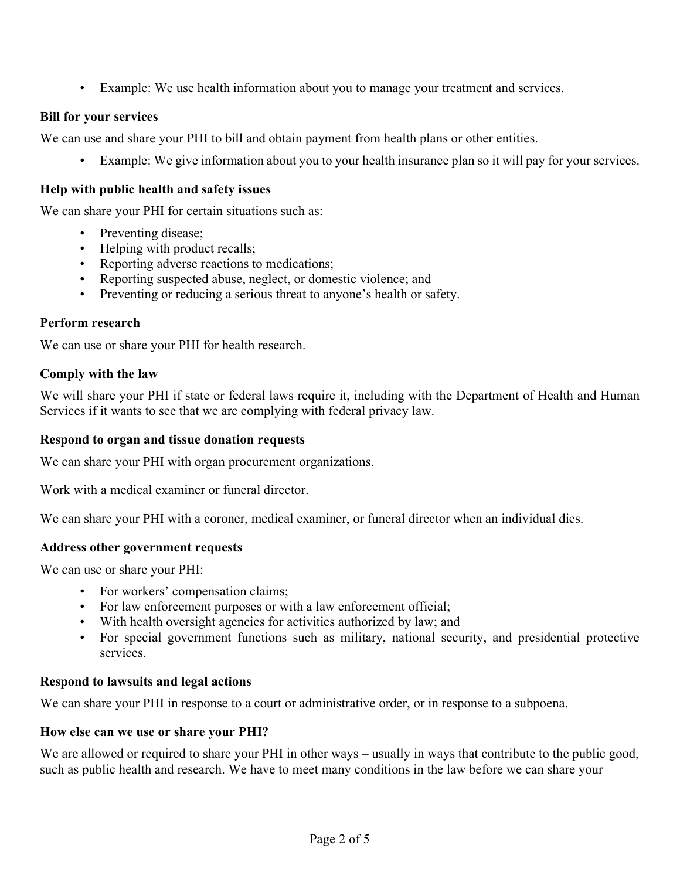• Example: We use health information about you to manage your treatment and services.

### **Bill for your services**

We can use and share your PHI to bill and obtain payment from health plans or other entities.

Example: We give information about you to your health insurance plan so it will pay for your services.

#### **Help with public health and safety issues**

We can share your PHI for certain situations such as:

- Preventing disease;
- Helping with product recalls;
- Reporting adverse reactions to medications;
- Reporting suspected abuse, neglect, or domestic violence; and
- Preventing or reducing a serious threat to anyone's health or safety.

#### **Perform research**

We can use or share your PHI for health research.

#### **Comply with the law**

We will share your PHI if state or federal laws require it, including with the Department of Health and Human Services if it wants to see that we are complying with federal privacy law.

#### **Respond to organ and tissue donation requests**

We can share your PHI with organ procurement organizations.

Work with a medical examiner or funeral director.

We can share your PHI with a coroner, medical examiner, or funeral director when an individual dies.

#### **Address other government requests**

We can use or share your PHI:

- For workers' compensation claims;
- For law enforcement purposes or with a law enforcement official;
- With health oversight agencies for activities authorized by law; and
- For special government functions such as military, national security, and presidential protective services.

#### **Respond to lawsuits and legal actions**

We can share your PHI in response to a court or administrative order, or in response to a subpoena.

#### **How else can we use or share your PHI?**

We are allowed or required to share your PHI in other ways – usually in ways that contribute to the public good, such as public health and research. We have to meet many conditions in the law before we can share your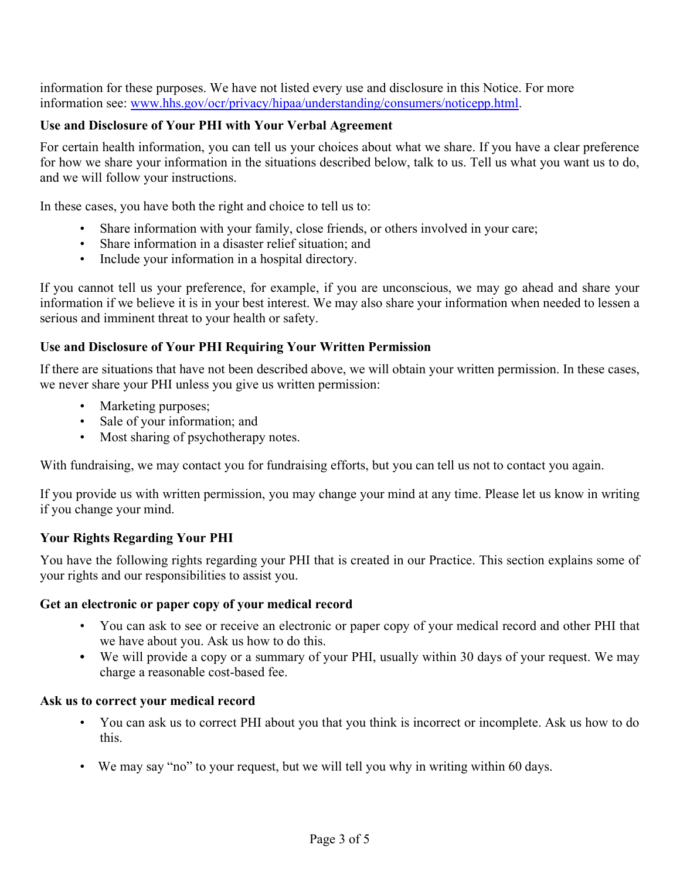information for these purposes. We have not listed every use and disclosure in this Notice. For more information see: [www.hhs.gov/ocr/privacy/hipaa/understanding/consumers/noticepp.html.](http://www.hhs.gov/ocr/privacy/hipaa/understanding/consumers/noticepp.html)

### **Use and Disclosure of Your PHI with Your Verbal Agreement**

For certain health information, you can tell us your choices about what we share. If you have a clear preference for how we share your information in the situations described below, talk to us. Tell us what you want us to do, and we will follow your instructions.

In these cases, you have both the right and choice to tell us to:

- Share information with your family, close friends, or others involved in your care;
- Share information in a disaster relief situation; and
- Include your information in a hospital directory.

If you cannot tell us your preference, for example, if you are unconscious, we may go ahead and share your information if we believe it is in your best interest. We may also share your information when needed to lessen a serious and imminent threat to your health or safety.

### **Use and Disclosure of Your PHI Requiring Your Written Permission**

If there are situations that have not been described above, we will obtain your written permission. In these cases, we never share your PHI unless you give us written permission:

- Marketing purposes;
- Sale of your information; and
- Most sharing of psychotherapy notes.

With fundraising, we may contact you for fundraising efforts, but you can tell us not to contact you again.

If you provide us with written permission, you may change your mind at any time. Please let us know in writing if you change your mind.

## **Your Rights Regarding Your PHI**

You have the following rights regarding your PHI that is created in our Practice. This section explains some of your rights and our responsibilities to assist you.

### **Get an electronic or paper copy of your medical record**

- You can ask to see or receive an electronic or paper copy of your medical record and other PHI that we have about you. Ask us how to do this.
- **•** We will provide a copy or a summary of your PHI, usually within 30 days of your request. We may charge a reasonable cost-based fee.

### **Ask us to correct your medical record**

- You can ask us to correct PHI about you that you think is incorrect or incomplete. Ask us how to do this.
- We may say "no" to your request, but we will tell you why in writing within 60 days.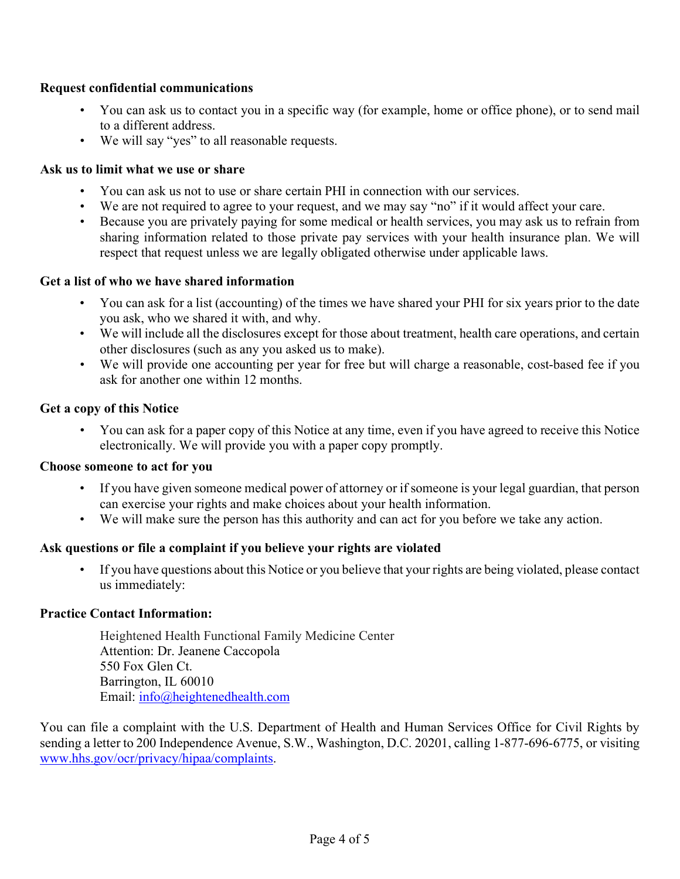#### **Request confidential communications**

- You can ask us to contact you in a specific way (for example, home or office phone), or to send mail to a different address.
- We will say "yes" to all reasonable requests.

#### **Ask us to limit what we use or share**

- You can ask us not to use or share certain PHI in connection with our services.
- We are not required to agree to your request, and we may say "no" if it would affect your care.
- Because you are privately paying for some medical or health services, you may ask us to refrain from sharing information related to those private pay services with your health insurance plan. We will respect that request unless we are legally obligated otherwise under applicable laws.

#### **Get a list of who we have shared information**

- You can ask for a list (accounting) of the times we have shared your PHI for six years prior to the date you ask, who we shared it with, and why.
- We will include all the disclosures except for those about treatment, health care operations, and certain other disclosures (such as any you asked us to make).
- We will provide one accounting per year for free but will charge a reasonable, cost-based fee if you ask for another one within 12 months.

#### **Get a copy of this Notice**

• You can ask for a paper copy of this Notice at any time, even if you have agreed to receive this Notice electronically. We will provide you with a paper copy promptly.

#### **Choose someone to act for you**

- If you have given someone medical power of attorney or if someone is your legal guardian, that person can exercise your rights and make choices about your health information.
- We will make sure the person has this authority and can act for you before we take any action.

### **Ask questions or file a complaint if you believe your rights are violated**

• If you have questions about this Notice or you believe that your rights are being violated, please contact us immediately:

#### **Practice Contact Information:**

Heightened Health Functional Family Medicine Center Attention: Dr. Jeanene Caccopola 550 Fox Glen Ct. Barrington, IL 60010 Email: [info@heightenedhealth.com](mailto:john@hormonesandwellness.com)

You can file a complaint with the U.S. Department of Health and Human Services Office for Civil Rights by sending a letter to 200 Independence Avenue, S.W., Washington, D.C. 20201, calling 1-877-696-6775, or visiting [www.hhs.gov/ocr/privacy/hipaa/complaints.](http://www.hhs.gov/ocr/privacy/hipaa/complaints)